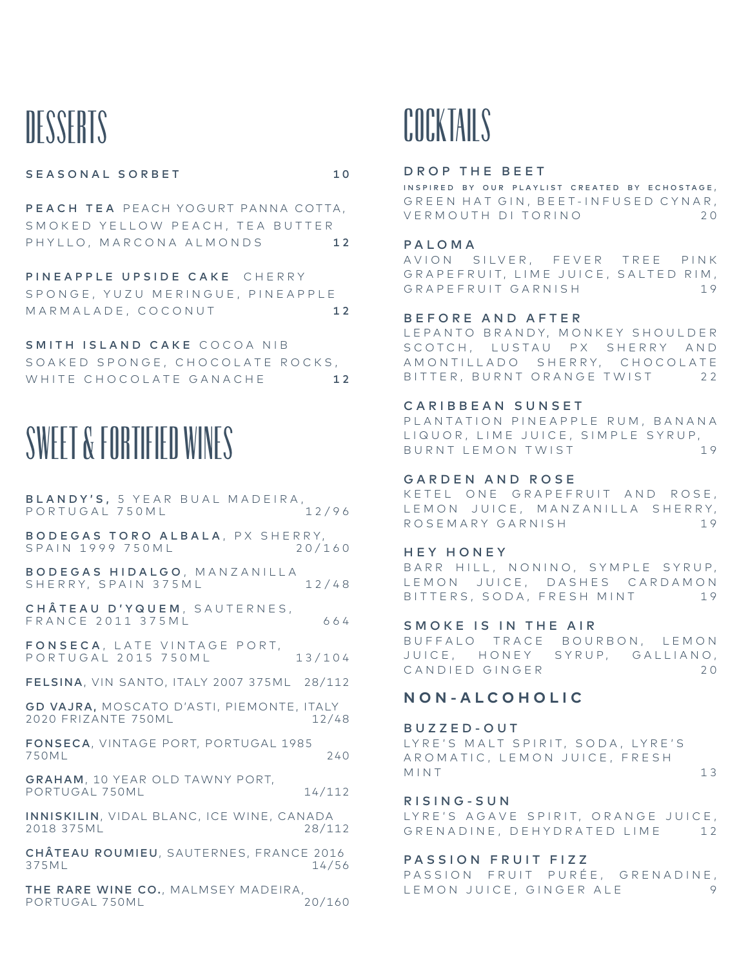# **DESSERTS**

### SEASONAL SORBET 10

PEACH TEA PEACH YOGURT PANNA COTTA, SMOKED YELLOW PEACH, TEA BUTTER PHYLLO, MARCONA ALMONDS 12

PINEAPPLE UPSIDE CAKE CHERRY SPONGE, YUZU MERINGUE, PINEAPPLE MARMALADE, COCONUT 12

SMITH ISLAND CAKE COCOA NIB SOAKED SPONGE, CHOCOLATE ROCKS, WHITE CHOCOLATE GANACHE 12



BLANDY'S, 5 YEAR BUAL MADEIRA,<br>PORTUGAL 750ML 12/96 PORTUGAL 750ML BODEGAS TORO ALBALA, PX SHERRY, SPAIN 1999 750ML 20/160 BODEGAS HIDALGO, MANZANILLA SHERRY, SPAIN 375ML 12/48 CHÂTEAU D'YQUEM, SAUTERNES, FRANCE 2011 375ML 664 FONSECA, LATE VINTAGE PORT, PORTUGAL 2015 750ML 13/104 FELSINA, VIN SANTO, ITALY 2007 375ML 28/112 GD VAJRA, MOSCATO D'ASTI, PIEMONTE, ITALY 2020 FRIZANTE 750ML 12/48 FONSECA, VINTAGE PORT, PORTUGAL 1985 750ML 240 GRAHAM, 10 YEAR OLD TAWNY PORT, PORTUGAL 750ML 14/112 INNISKILIN, VIDAL BLANC, ICE WINE, CANADA 2018 375ML 28/112 CHÂTEAU ROUMIEU, SAUTERNES, FRANCE 2016 375ML 14/56

THE RARE WINE CO., MALMSEY MADEIRA,<br>PORTUGAL 750ML 20/160 PORTUGAL 750ML

## COCKTAILS

### DROP THE BEET

INSPIRED BY OUR PLAYLIST CREATED BY ECHOSTAGE, GREEN HAT GIN, BEET-INFUSED CYNAR, VERMOUTH DI TORINO 2 0

### PALOMA

AVION SILVER, FEVER TREE PINK GRAPEFRUIT, LIME JUICE, SALTED RIM. GRAPEFRUIT GARNISH 19

### BEFORE AND AFTER

LEPANTO BRANDY, MONKEY SHOULDER SCOTCH, LUSTAU PX SHERRY AND A M ON TILLADO SHERRY, CHOCOLATE BITTER, BURNT ORANGE TWIST 22

#### CARIBBEAN SUNSET

PLANTATION PINEAPPLE RUM, BANANA LIQUOR, LIME JUICE, SIMPLE SYRUP, BURNT LEMON TWIST 19

#### GARDEN AND ROSE

KETEL ONE GRAPEFRUIT AND ROSE, LEMON JUICE, MANZANILLA SHERRY, ROSEMARY GARNISH 19

### HEY HONEY

BARR HILL, NONINO, SYMPLE SYRUP, LEMON JUICE, DASHES CARDAMON BITTERS, SODA, FRESH MINT 19

### SMOKE IS IN THE AIR

BUFFALO TRACE BOURBON, LEMON JUICE, HONEY SYRUP, GALLIANO, CANDIED GINGER 20

### **NON-ALCOHOLIC**

#### BUZZED-OUT

LYRE'S MALT SPIRIT, SODA, LYRE'S AROMATIC, LEMON JUICE, FRESH MINT 13

R I S I N G - S U N LYRE'S AGAVE SPIRIT, ORANGE JUICE, GRENADINE, DEHYDRATED LIME 12

#### PASSION FRUIT FIZZ

PASSION FRUIT PURÉE, GRENADINE, LEMON JUICE, GINGER ALE 9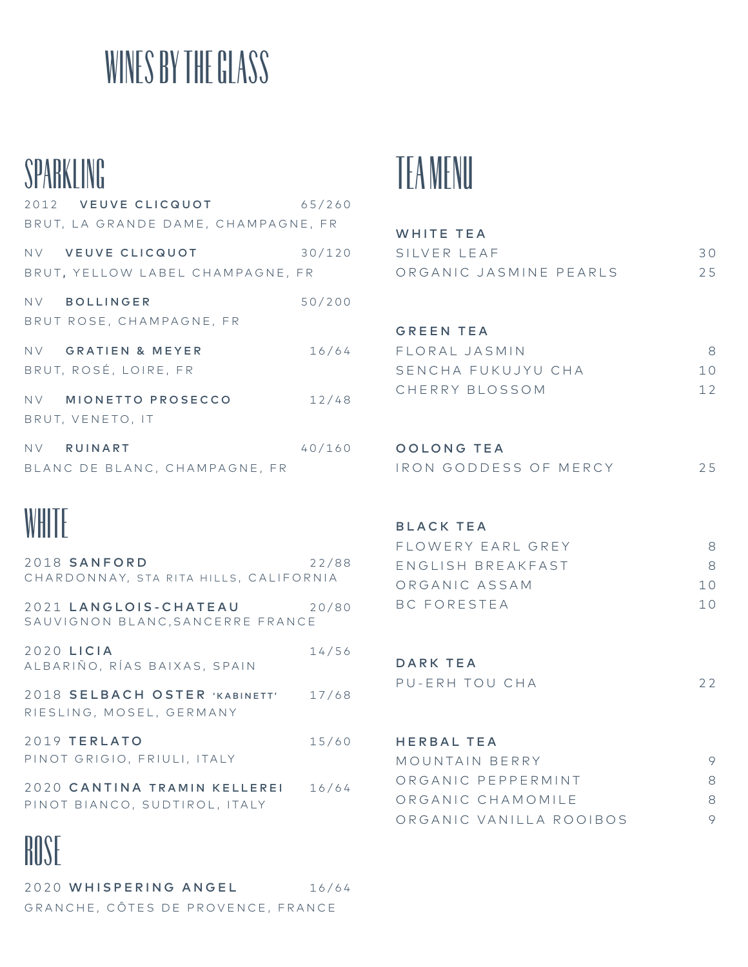# WINES BY THE GLASS

## SPARKLING

| 2012 VEUVE CLICQUOT<br>BRUT, LA GRANDE DAME, CHAMPAGNE, FR | 65/260 |
|------------------------------------------------------------|--------|
| NV VEUVE CLICQUOT<br>BRUT, YELLOW LABEL CHAMPAGNE, FR      | 30/120 |
| NV BOLLINGER<br>BRUT ROSE, CHAMPAGNE, FR                   | 50/200 |
| NV GRATIEN & MEYER<br>BRUT, ROSÉ, LOIRE, FR                | 16/64  |
| NV MIONETTO PROSECCO<br>BRUT, VENETO, IT                   | 12/48  |
| NV RUINART<br>BLANC DE BLANC, CHAMPAGNE, FR                | 40/160 |

## **WHITE**

| <b>BUGL</b>                                                   |       |
|---------------------------------------------------------------|-------|
| 2020 CANTINA TRAMIN KELLEREI<br>PINOT BIANCO, SUDTIROL, ITALY | 16/64 |
| 2019 TERLATO<br>PINOT GRIGIO, FRIULI, ITALY                   | 15/60 |
| 2018 SELBACH OSTER 'KABINETT'<br>RIESLING, MOSEL, GERMANY     | 17/68 |
| 2020 LICIA<br>ALBARIÑO, RÍAS BAIXAS, SPAIN                    | 14/56 |
| 2021 LANGLOIS-CHATEAU<br>SAUVIGNON BLANC, SANCERRE FRANCE     | 20/80 |
| 2018 SANFORD<br>CHARDONNAY, STA RITA HILLS, CALIFORNIA        | 22/88 |

## **NUSE**

2020 WHISPERING ANGEL 16/64 GRANCHE, CÔTES DE PROVENCE, FRANCE



| WHITE TEA              |                |
|------------------------|----------------|
| SILVER LEAF            | 30             |
| ORGANIC JASMINE PEARLS | 2.5            |
|                        |                |
|                        |                |
| <b>GREEN TEA</b>       |                |
| FIORAL JASMIN          | 8              |
| SENCHA FUKUJYU CHA     | 10             |
| CHERRY BLOSSOM         | 12             |
|                        |                |
|                        |                |
| <b>OOLONG TEA</b>      |                |
| IRON GODDESS OF MERCY  | 25             |
|                        |                |
| <b>BLACK TEA</b>       |                |
|                        | 8              |
| FLOWERY FARI GREY      |                |
| FNGIJSH BRFAKFAST      | 8              |
| ORGANIC ASSAM          | 10             |
| <b>BC FORESTEA</b>     | 1 <sub>0</sub> |
|                        |                |

| DARK TEA       |    |
|----------------|----|
| PU-ERH TOU CHA | 22 |

## HERBAL TEA

| MOUNTAIN BERRY     |                         |    |
|--------------------|-------------------------|----|
|                    | ORGANIC PFPPFRMINT      | 8. |
| ORGANIC CHAMOMII F |                         | 8. |
|                    | ORGANIC VANILLA ROOIBOS |    |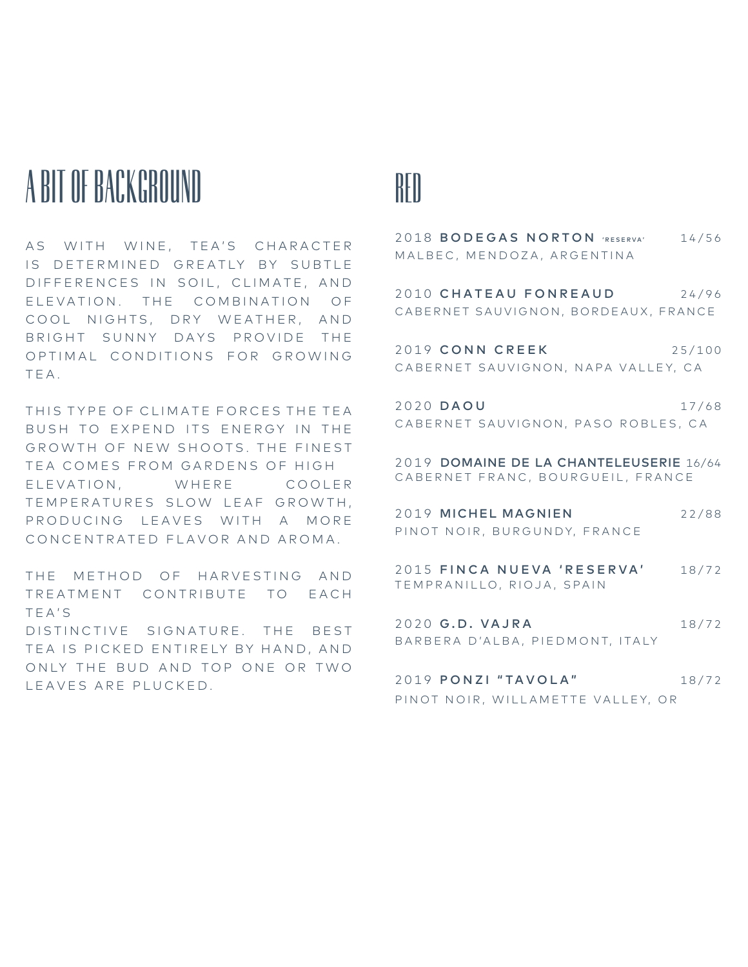# A BIT OF BACKGROUND

AS WITH WINE, TEA'S CHARACTER IS DETERMINED GREATLY BY SUBTLE DIFFERENCES IN SOIL, CLIMATE, AND ELEVATION. THE COMBINATION OF COOL NIGHTS, DRY WEATHER, AND BRIGHT SUNNY DAYS PROVIDE THE OPTIMAL CONDITIONS FOR GROWING T E A .

THIS TYPE OF CLIMATE FORCES THE TEA BUSH TO EXPEND ITS ENERGY IN THE GROWTH OF NEW SHOOTS. THE FINEST TEA COMES FROM GARDENS OF HIGH ELEVATION, WHERE COOLER TEMPERATURES SLOW LEAF GROWTH, PRODUCING LEAVES WITH A MORE CONCENTRATED FLAVOR AND AROMA.

THE METHOD OF HARVESTING AND TREATMENT CONTRIBUTE TO EACH T E A ' S DISTINCTIVE SIGNATURE. THE BEST TEA IS PICKED ENTIRELY BY HAND, AND ONLY THE BUD AND TOP ONE OR TWO LEAVES ARE PLUCKED.

## RED

2018 BODEGAS NORTON 'RESERVA' 14/56 MALBEC, MENDOZA, ARGENTINA 2010 CHATEAU FONREAUD 24/96 CABERNET SAUVIGNON, BORDEAUX, FRANCE 2019 CONN CREEK 25/100 CABERNET SAUVIGNON, NAPA VALLEY, CA 2020 DAOU 17/68 CABERNET SAUVIGNON, PASO ROBLES, CA 2019 DOMAINE DE LA CHANTELEUSERIE 16/64

CABERNET FRANC, BOURGUEIL, FRANCE 2019 MICHEL MAGNIEN 22/88

PINOT NOIR, BURGUNDY, FRANCE

2015 FINCA NUEVA 'RESERVA' 18/72 TEMPRANILLO, RIOJA, SPAIN

2020 G.D. VAJRA 18/72 BARBERA D'ALBA, PIEDMONT, ITALY

2019 PONZI "TAVOLA" 18/72 PINOT NOIR, WILLAMETTE VALLEY, OR